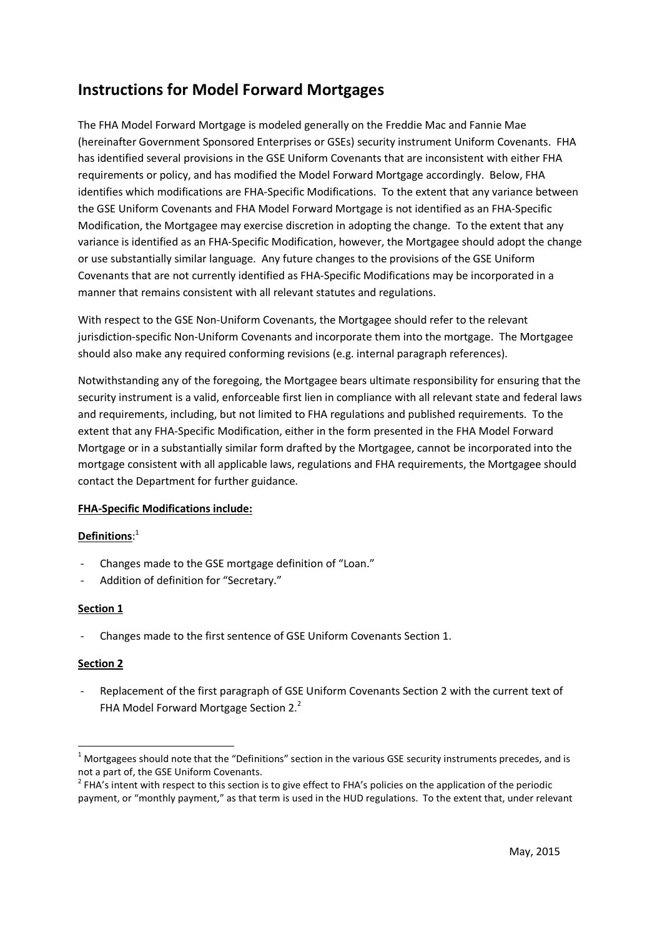# **Instructions for Model Forward Mortgages**

The FHA Model Forward Mortgage is modeled generally on the Freddie Mac and Fannie Mae (hereinafter Government Sponsored Enterprises or GSEs) security instrument Uniform Covenants. FHA has identified several provisions in the GSE Uniform Covenants that are inconsistent with either FHA requirements or policy, and has modified the Model Forward Mortgage accordingly. Below, FHA identifies which modifications are FHA-Specific Modifications. To the extent that any variance between the GSE Uniform Covenants and FHA Model Forward Mortgage is not identified as an FHA-Specific Modification, the Mortgagee may exercise discretion in adopting the change. To the extent that any variance is identified as an FHA-Specific Modification, however, the Mortgagee should adopt the change or use substantially similar language. Any future changes to the provisions of the GSE Uniform Covenants that are not currently identified as FHA-Specific Modifications may be incorporated in a manner that remains consistent with all relevant statutes and regulations.

With respect to the GSE Non-Uniform Covenants, the Mortgagee should refer to the relevant jurisdiction-specific Non-Uniform Covenants and incorporate them into the mortgage. The Mortgagee should also make any required conforming revisions (e.g. internal paragraph references).

Notwithstanding any of the foregoing, the Mortgagee bears ultimate responsibility for ensuring that the security instrument is a valid, enforceable first lien in compliance with all relevant state and federal laws and requirements, including, but not limited to FHA regulations and published requirements. To the extent that any FHA-Specific Modification, either in the form presented in the FHA Model Forward Mortgage or in a substantially similar form drafted by the Mortgagee, cannot be incorporated into the mortgage consistent with all applicable laws, regulations and FHA requirements, the Mortgagee should contact the Department for further guidance.

# **FHA-Specific Modifications include:**

# **Definitions**: 1

- Changes made to the GSE mortgage definition of "Loan."
- Addition of definition for "Secretary."

# **Section 1**

- Changes made to the first sentence of GSE Uniform Covenants Section 1.

# **Section 2**

Replacement of the first paragraph of GSE Uniform Covenants Section 2 with the current text of FHA Model Forward Mortgage Section 2.<sup>2</sup>

 $1$  Mortgagees should note that the "Definitions" section in the various GSE security instruments precedes, and is not a part of, the GSE Uniform Covenants.

 $^2$  FHA's intent with respect to this section is to give effect to FHA's policies on the application of the periodic payment, or "monthly payment," as that term is used in the HUD regulations. To the extent that, under relevant